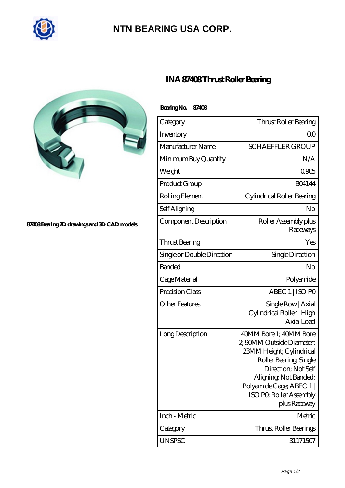

## **[NTN BEARING USA CORP.](https://m.tf-mael.com)**



**[87408 Bearing 2D drawings and 3D CAD models](https://m.tf-mael.com/pic-211511.html)**

## **[INA 87408 Thrust Roller Bearing](https://m.tf-mael.com/bz-211511-ina-87408-thrust-roller-bearing.html)**

| BearingNo.<br>87408        |                                                                                                                                                                                                                               |
|----------------------------|-------------------------------------------------------------------------------------------------------------------------------------------------------------------------------------------------------------------------------|
| Category                   | <b>Thrust Roller Bearing</b>                                                                                                                                                                                                  |
| Inventory                  | 0 <sup>0</sup>                                                                                                                                                                                                                |
| Manufacturer Name          | <b>SCHAEFFLER GROUP</b>                                                                                                                                                                                                       |
| Minimum Buy Quantity       | N/A                                                                                                                                                                                                                           |
| Weight                     | 0905                                                                                                                                                                                                                          |
| Product Group              | <b>BO4144</b>                                                                                                                                                                                                                 |
| Rolling Element            | Cylindrical Roller Bearing                                                                                                                                                                                                    |
| Self Aligning              | No                                                                                                                                                                                                                            |
| Component Description      | Roller Assembly plus<br>Raceways                                                                                                                                                                                              |
| Thrust Bearing             | Yes                                                                                                                                                                                                                           |
| Single or Double Direction | Single Direction                                                                                                                                                                                                              |
| <b>Banded</b>              | Nο                                                                                                                                                                                                                            |
| Cage Material              | Polyamide                                                                                                                                                                                                                     |
| Precision Class            | ABEC 1   ISO PO                                                                                                                                                                                                               |
| <b>Other Features</b>      | Single Row   Axial<br>Cylindrical Roller   High<br>Axial Load                                                                                                                                                                 |
| Long Description           | 40MM Bore 1: 40MM Bore<br>2, 90MM Outside Diameter;<br>23MM Height; Cylindrical<br>Roller Bearing, Single<br>Direction; Not Self<br>Aligning Not Banded;<br>Polyamide Cage; ABEC 1<br>ISO PO, Roller Assembly<br>plus Raceway |
| Inch - Metric              | Metric                                                                                                                                                                                                                        |
| Category                   | Thrust Roller Bearings                                                                                                                                                                                                        |
| <b>UNSPSC</b>              | 31171507                                                                                                                                                                                                                      |